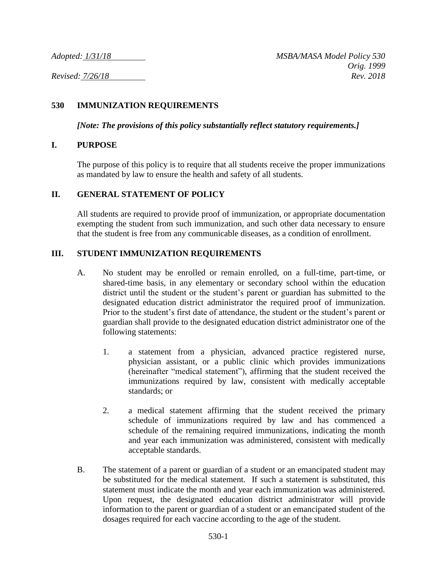#### **530 IMMUNIZATION REQUIREMENTS**

*[Note: The provisions of this policy substantially reflect statutory requirements.]*

#### **I. PURPOSE**

The purpose of this policy is to require that all students receive the proper immunizations as mandated by law to ensure the health and safety of all students.

#### **II. GENERAL STATEMENT OF POLICY**

All students are required to provide proof of immunization, or appropriate documentation exempting the student from such immunization, and such other data necessary to ensure that the student is free from any communicable diseases, as a condition of enrollment.

#### **III. STUDENT IMMUNIZATION REQUIREMENTS**

- A. No student may be enrolled or remain enrolled, on a full-time, part-time, or shared-time basis, in any elementary or secondary school within the education district until the student or the student's parent or guardian has submitted to the designated education district administrator the required proof of immunization. Prior to the student's first date of attendance, the student or the student's parent or guardian shall provide to the designated education district administrator one of the following statements:
	- 1. a statement from a physician, advanced practice registered nurse, physician assistant, or a public clinic which provides immunizations (hereinafter "medical statement"), affirming that the student received the immunizations required by law, consistent with medically acceptable standards; or
	- 2. a medical statement affirming that the student received the primary schedule of immunizations required by law and has commenced a schedule of the remaining required immunizations, indicating the month and year each immunization was administered, consistent with medically acceptable standards.
- B. The statement of a parent or guardian of a student or an emancipated student may be substituted for the medical statement. If such a statement is substituted, this statement must indicate the month and year each immunization was administered. Upon request, the designated education district administrator will provide information to the parent or guardian of a student or an emancipated student of the dosages required for each vaccine according to the age of the student.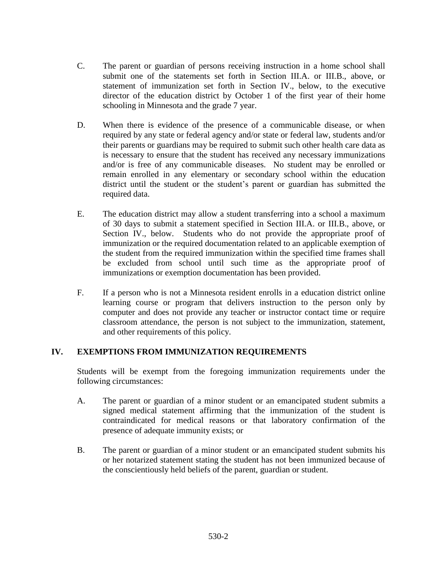- C. The parent or guardian of persons receiving instruction in a home school shall submit one of the statements set forth in Section III.A. or III.B., above, or statement of immunization set forth in Section IV., below, to the executive director of the education district by October 1 of the first year of their home schooling in Minnesota and the grade 7 year.
- D. When there is evidence of the presence of a communicable disease, or when required by any state or federal agency and/or state or federal law, students and/or their parents or guardians may be required to submit such other health care data as is necessary to ensure that the student has received any necessary immunizations and/or is free of any communicable diseases. No student may be enrolled or remain enrolled in any elementary or secondary school within the education district until the student or the student's parent or guardian has submitted the required data.
- E. The education district may allow a student transferring into a school a maximum of 30 days to submit a statement specified in Section III.A. or III.B., above, or Section IV., below. Students who do not provide the appropriate proof of immunization or the required documentation related to an applicable exemption of the student from the required immunization within the specified time frames shall be excluded from school until such time as the appropriate proof of immunizations or exemption documentation has been provided.
- F. If a person who is not a Minnesota resident enrolls in a education district online learning course or program that delivers instruction to the person only by computer and does not provide any teacher or instructor contact time or require classroom attendance, the person is not subject to the immunization, statement, and other requirements of this policy.

## **IV. EXEMPTIONS FROM IMMUNIZATION REQUIREMENTS**

Students will be exempt from the foregoing immunization requirements under the following circumstances:

- A. The parent or guardian of a minor student or an emancipated student submits a signed medical statement affirming that the immunization of the student is contraindicated for medical reasons or that laboratory confirmation of the presence of adequate immunity exists; or
- B. The parent or guardian of a minor student or an emancipated student submits his or her notarized statement stating the student has not been immunized because of the conscientiously held beliefs of the parent, guardian or student.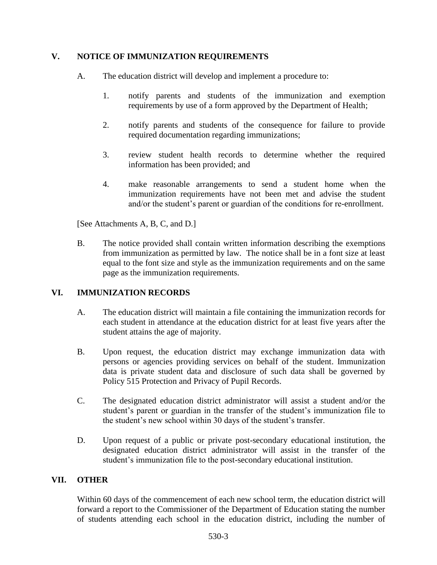## **V. NOTICE OF IMMUNIZATION REQUIREMENTS**

- A. The education district will develop and implement a procedure to:
	- 1. notify parents and students of the immunization and exemption requirements by use of a form approved by the Department of Health;
	- 2. notify parents and students of the consequence for failure to provide required documentation regarding immunizations;
	- 3. review student health records to determine whether the required information has been provided; and
	- 4. make reasonable arrangements to send a student home when the immunization requirements have not been met and advise the student and/or the student's parent or guardian of the conditions for re-enrollment.

[See Attachments A, B, C, and D.]

B. The notice provided shall contain written information describing the exemptions from immunization as permitted by law. The notice shall be in a font size at least equal to the font size and style as the immunization requirements and on the same page as the immunization requirements.

# **VI. IMMUNIZATION RECORDS**

- A. The education district will maintain a file containing the immunization records for each student in attendance at the education district for at least five years after the student attains the age of majority.
- B. Upon request, the education district may exchange immunization data with persons or agencies providing services on behalf of the student. Immunization data is private student data and disclosure of such data shall be governed by Policy 515 Protection and Privacy of Pupil Records.
- C. The designated education district administrator will assist a student and/or the student's parent or guardian in the transfer of the student's immunization file to the student's new school within 30 days of the student's transfer.
- D. Upon request of a public or private post-secondary educational institution, the designated education district administrator will assist in the transfer of the student's immunization file to the post-secondary educational institution.

## **VII. OTHER**

Within 60 days of the commencement of each new school term, the education district will forward a report to the Commissioner of the Department of Education stating the number of students attending each school in the education district, including the number of